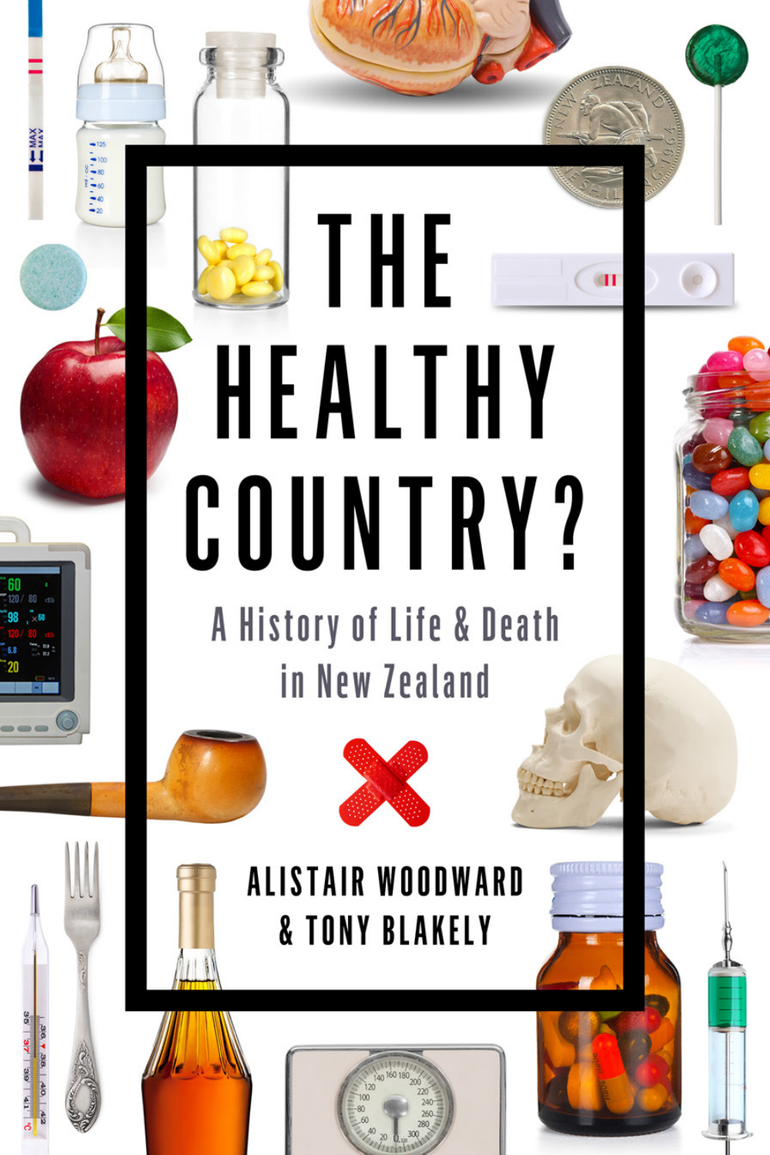# **THE** HEALTHY COUNTRY?

A History of Life & Death in New Zealand





**ALISTAIR WOODWARD & TONY BLAKELY**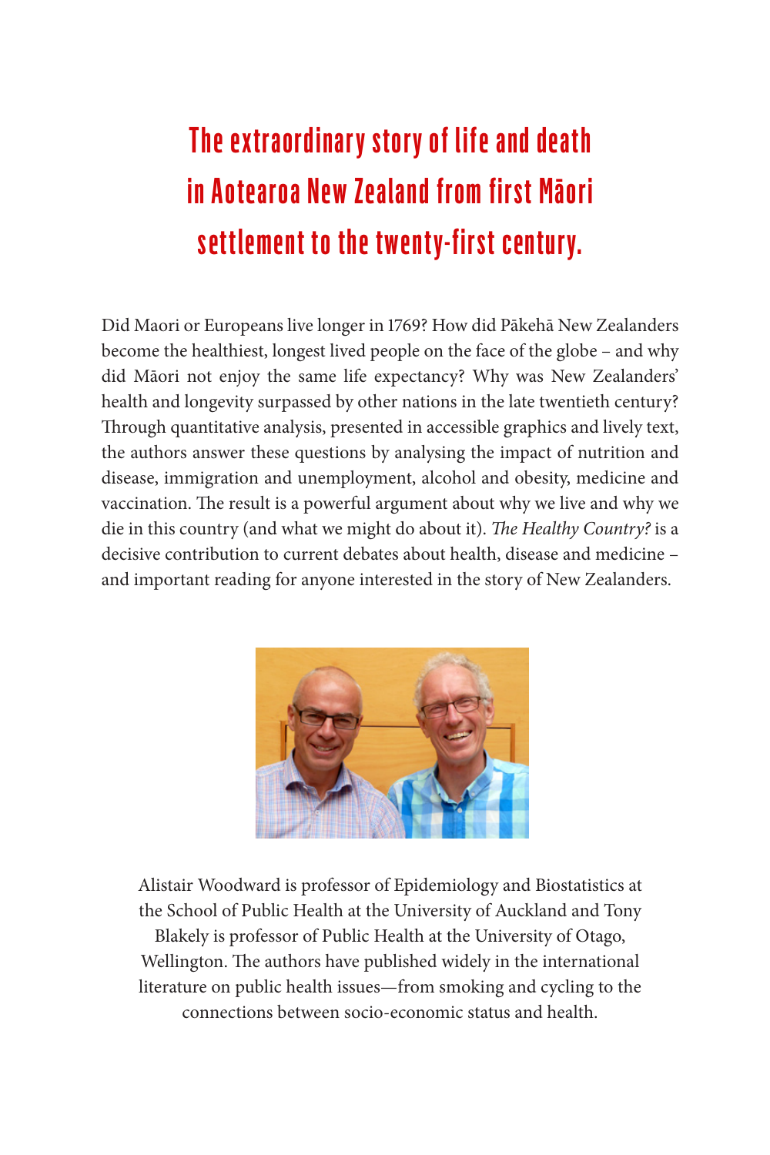## **The extraordinary story of life and death in Aotearoa New Zealand from first Māori settlement to the twenty-first century.**

Did Maori or Europeans live longer in 1769? How did Pākehā New Zealanders become the healthiest, longest lived people on the face of the globe – and why did Māori not enjoy the same life expectancy? Why was New Zealanders' health and longevity surpassed by other nations in the late twentieth century? Through quantitative analysis, presented in accessible graphics and lively text, the authors answer these questions by analysing the impact of nutrition and disease, immigration and unemployment, alcohol and obesity, medicine and vaccination. The result is a powerful argument about why we live and why we die in this country (and what we might do about it). *The Healthy Country?* is a decisive contribution to current debates about health, disease and medicine – and important reading for anyone interested in the story of New Zealanders.



Alistair Woodward is professor of Epidemiology and Biostatistics at the School of Public Health at the University of Auckland and Tony Blakely is professor of Public Health at the University of Otago, Wellington. The authors have published widely in the international literature on public health issues—from smoking and cycling to the connections between socio-economic status and health.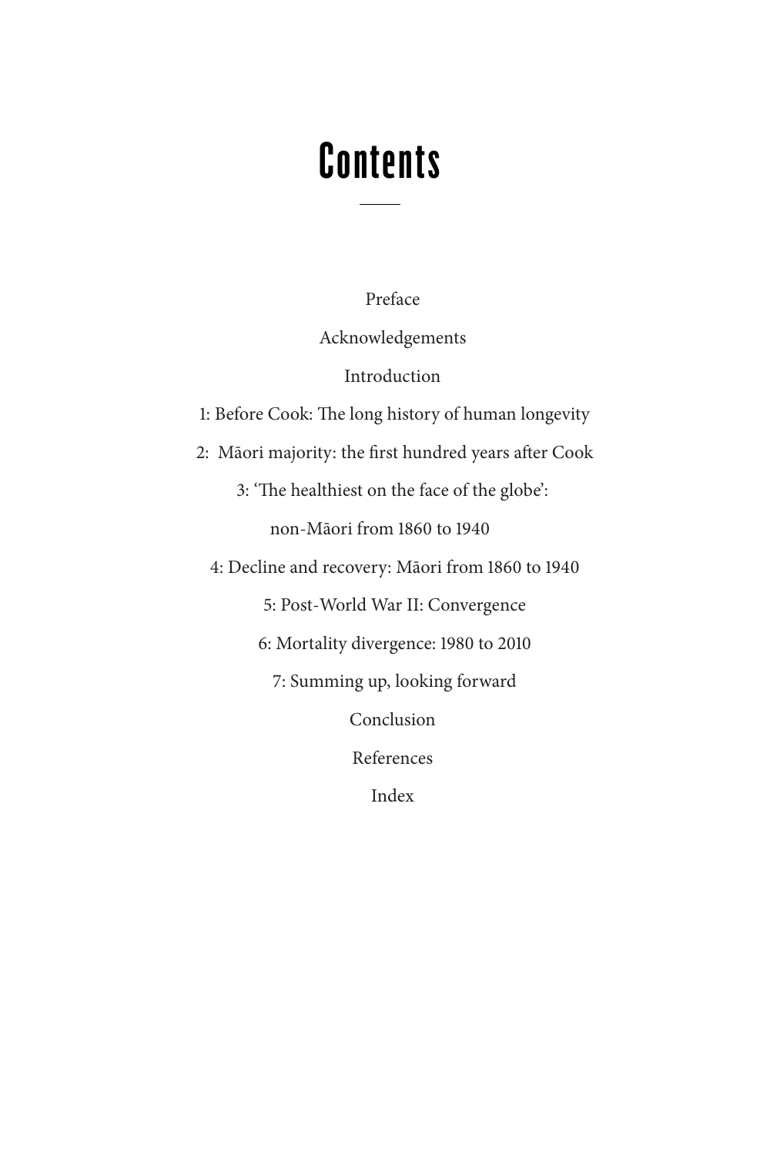# **Contents**

Preface

Acknowledgements

#### Introduction

1: Before Cook: The long history of human longevity

2: Māori majority: the first hundred years after Cook

3: 'The healthiest on the face of the globe':

non-Māori from 1860 to 1940

4: Decline and recovery: Māori from 1860 to 1940

5: Post-World War II: Convergence

6: Mortality divergence: 1980 to 2010

7: Summing up, looking forward

Conclusion

References

Index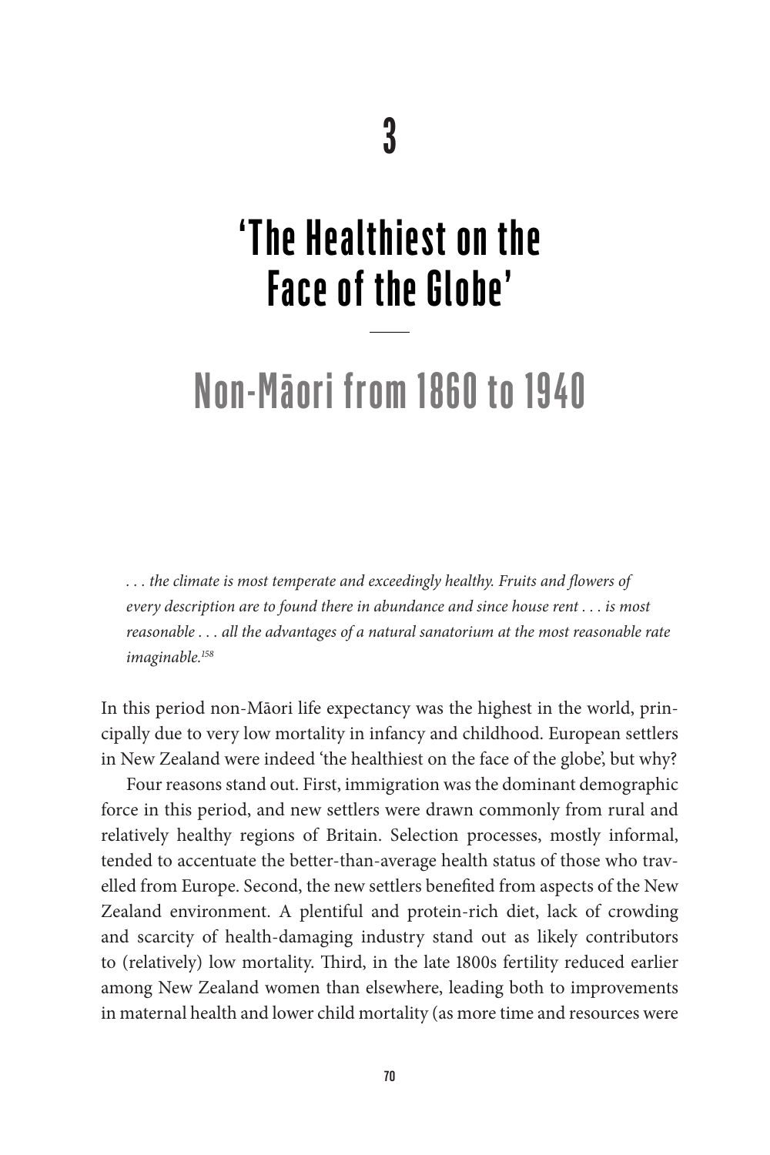# **'The Healthiest on the Face of the Globe'**

## **Non-Māori from 1860 to 1940**

*. . . the climate is most temperate and exceedingly healthy. Fruits and flowers of every description are to found there in abundance and since house rent . . . is most reasonable . . . all the advantages of a natural sanatorium at the most reasonable rate imaginable.158*

In this period non-Māori life expectancy was the highest in the world, principally due to very low mortality in infancy and childhood. European settlers in New Zealand were indeed 'the healthiest on the face of the globe', but why?

Four reasons stand out. First, immigration was the dominant demographic force in this period, and new settlers were drawn commonly from rural and relatively healthy regions of Britain. Selection processes, mostly informal, tended to accentuate the better-than-average health status of those who travelled from Europe. Second, the new settlers benefited from aspects of the New Zealand environment. A plentiful and protein-rich diet, lack of crowding and scarcity of health-damaging industry stand out as likely contributors to (relatively) low mortality. Third, in the late 1800s fertility reduced earlier among New Zealand women than elsewhere, leading both to improvements in maternal health and lower child mortality (as more time and resources were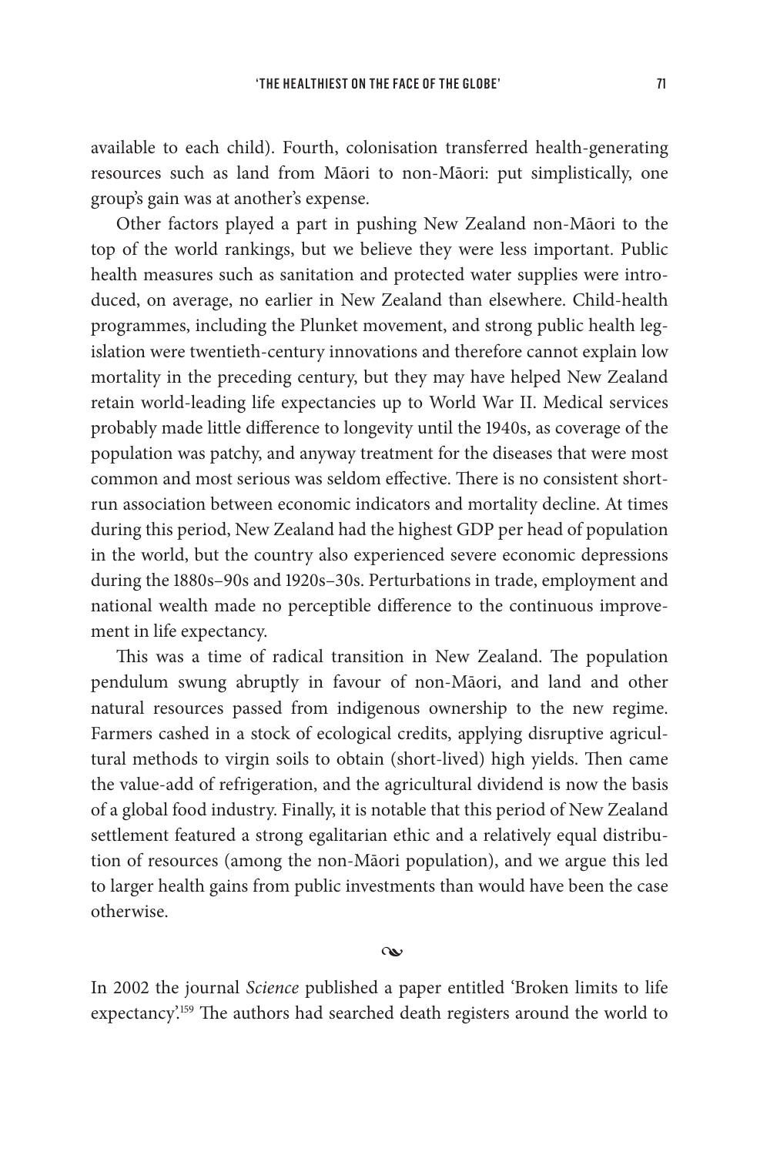available to each child). Fourth, colonisation transferred health-generating resources such as land from Māori to non-Māori: put simplistically, one group's gain was at another's expense.

Other factors played a part in pushing New Zealand non-Māori to the top of the world rankings, but we believe they were less important. Public health measures such as sanitation and protected water supplies were introduced, on average, no earlier in New Zealand than elsewhere. Child-health programmes, including the Plunket movement, and strong public health legislation were twentieth-century innovations and therefore cannot explain low mortality in the preceding century, but they may have helped New Zealand retain world-leading life expectancies up to World War II. Medical services probably made little difference to longevity until the 1940s, as coverage of the population was patchy, and anyway treatment for the diseases that were most common and most serious was seldom effective. There is no consistent shortrun association between economic indicators and mortality decline. At times during this period, New Zealand had the highest GDP per head of population in the world, but the country also experienced severe economic depressions during the 1880s–90s and 1920s–30s. Perturbations in trade, employment and national wealth made no perceptible difference to the continuous improvement in life expectancy.

This was a time of radical transition in New Zealand. The population pendulum swung abruptly in favour of non-Māori, and land and other natural resources passed from indigenous ownership to the new regime. Farmers cashed in a stock of ecological credits, applying disruptive agricultural methods to virgin soils to obtain (short-lived) high yields. Then came the value-add of refrigeration, and the agricultural dividend is now the basis of a global food industry. Finally, it is notable that this period of New Zealand settlement featured a strong egalitarian ethic and a relatively equal distribution of resources (among the non-Māori population), and we argue this led to larger health gains from public investments than would have been the case otherwise.

In 2002 the journal *Science* published a paper entitled 'Broken limits to life expectancy'.159 The authors had searched death registers around the world to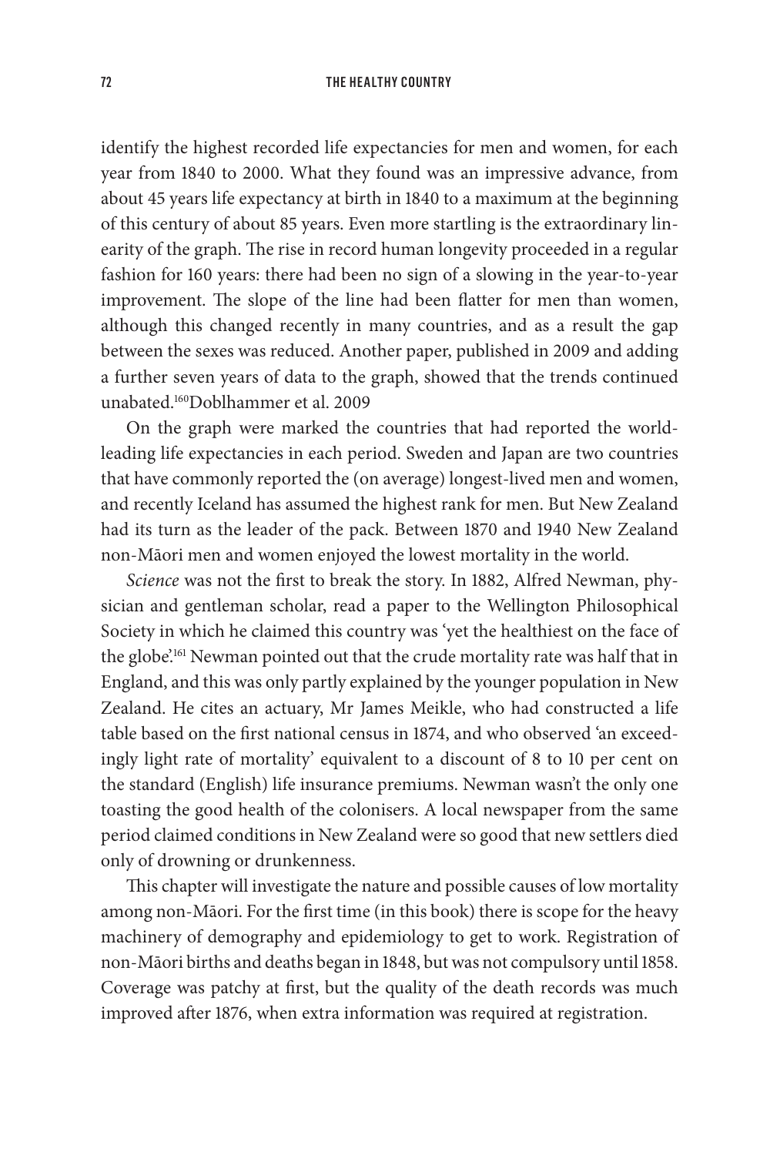#### THE HEALTHY COUNTRY THE HEALTHY COUNTRY

identify the highest recorded life expectancies for men and women, for each year from 1840 to 2000. What they found was an impressive advance, from about 45 years life expectancy at birth in 1840 to a maximum at the beginning of this century of about 85 years. Even more startling is the extraordinary linearity of the graph. The rise in record human longevity proceeded in a regular fashion for 160 years: there had been no sign of a slowing in the year-to-year improvement. The slope of the line had been flatter for men than women, although this changed recently in many countries, and as a result the gap between the sexes was reduced. Another paper, published in 2009 and adding a further seven years of data to the graph, showed that the trends continued unabated.160Doblhammer et al. 2009

On the graph were marked the countries that had reported the worldleading life expectancies in each period. Sweden and Japan are two countries that have commonly reported the (on average) longest-lived men and women, and recently Iceland has assumed the highest rank for men. But New Zealand had its turn as the leader of the pack. Between 1870 and 1940 New Zealand non-Māori men and women enjoyed the lowest mortality in the world.

*Science* was not the first to break the story. In 1882, Alfred Newman, physician and gentleman scholar, read a paper to the Wellington Philosophical Society in which he claimed this country was 'yet the healthiest on the face of the globe.<sup>161</sup> Newman pointed out that the crude mortality rate was half that in England, and this was only partly explained by the younger population in New Zealand. He cites an actuary, Mr James Meikle, who had constructed a life table based on the first national census in 1874, and who observed 'an exceedingly light rate of mortality' equivalent to a discount of 8 to 10 per cent on the standard (English) life insurance premiums. Newman wasn't the only one toasting the good health of the colonisers. A local newspaper from the same period claimed conditions in New Zealand were so good that new settlers died only of drowning or drunkenness.

This chapter will investigate the nature and possible causes of low mortality among non-Māori. For the first time (in this book) there is scope for the heavy machinery of demography and epidemiology to get to work. Registration of non-Māori births and deaths began in 1848, but was not compulsory until 1858. Coverage was patchy at first, but the quality of the death records was much improved after 1876, when extra information was required at registration.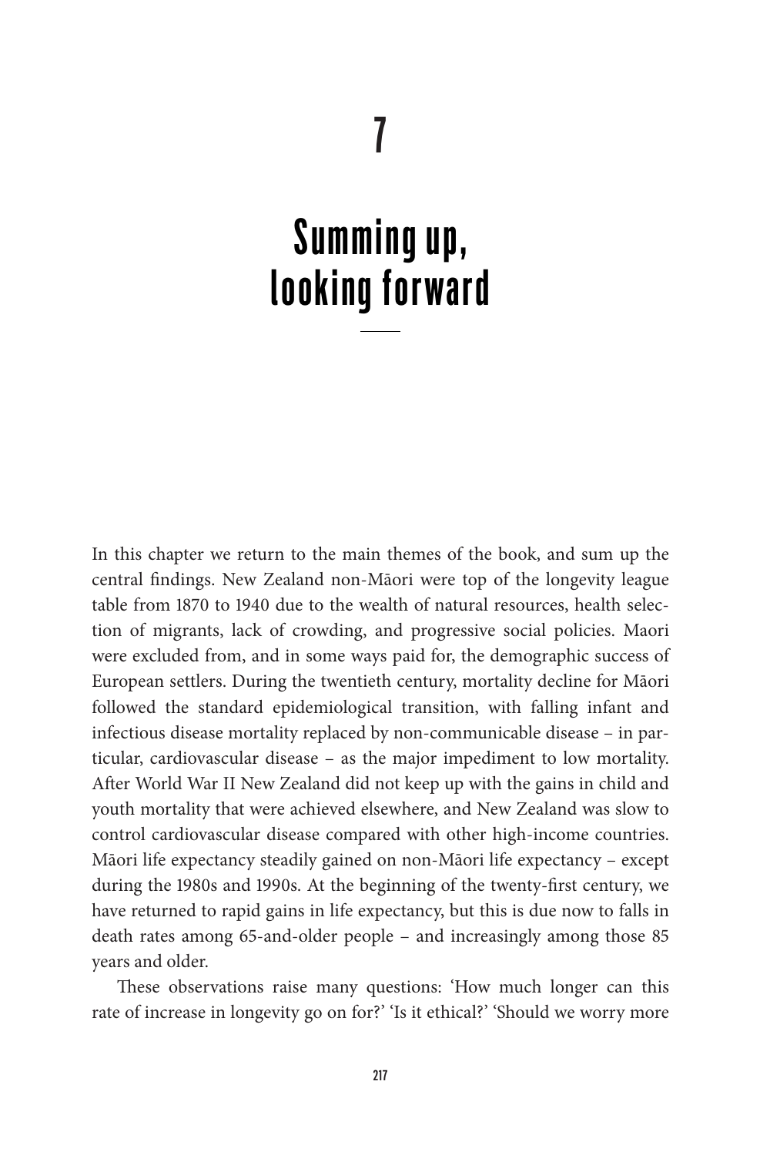### from 1860 to 1940, to 1940, to 1940, to 1940, to 1940, to 1940, to 1940, to 1940, the Māori (which are discussed in  $\mathbf{C}$ **Summing up, we have some perspective**  $\blacksquare$  for leading to  $1860$ , and on the far right hand side of the far right hand side of the far right hand side of the far right hand side of the far right hand side of the far right hand side of the far right hand sid **looking forward**

estimates for the 'best country in the world' from Oeppen and Vaupel159 prior

0 n<br>1 infectious disease mortality replaced by non-communicable disease – in parbegram settlers. During the twentieth century, mortanty decime for Ma<br>owed the standard epidemiological transition, with falling infant 40 European settlers. During the twentieth century, mortality decline for Māori were tion of migrants, lack of crowding, and progressive social policies. Maori table from 1870 to 1940 due to the wealth of natural resources, health selec-80 In this chapter we return to the main themes of the book, and sum up the youth mortality that were achieved elsewhere, and New Zealand was slow to control cardiovascular disease compared with other high-income countries. Non-Māori male were excluded from, and in some ways paid for, the demographic success of<br>European eattless. During the twentieth contumn mentality dealing for Māgri. followed the standard epidemiological transition, with falling infant and Māori female ticular, cardiovascular disease – as the major impediment to low mortality. during the 1980s and 1990s. At the beginning of the twenty-first century, we have returned to rapid gains in life expectancy, but this is due now to falls in Source: See sources for Figure 2. Additionally, 'England and Wales' data for the period 1861–86 are from the death rates among 65-and-older people – and increasingly among those 85.  $\mathbf{v}$  are estimates by the authors, and address, at the effects of the effects of the effects of the effects of the effects of the effects of the effects of the effects of the effects of the effects of the effects of t years and older. central findings. New Zealand non-Māori were top of the longevity league After World War II New Zealand did not keep up with the gains in child and Māori life expectancy steadily gained on non-Māori life expectancy – except

These observations raise many questions: 'How much longer can this rate of increase in longevity go on for?' 'Is it ethical?' 'Should we worry more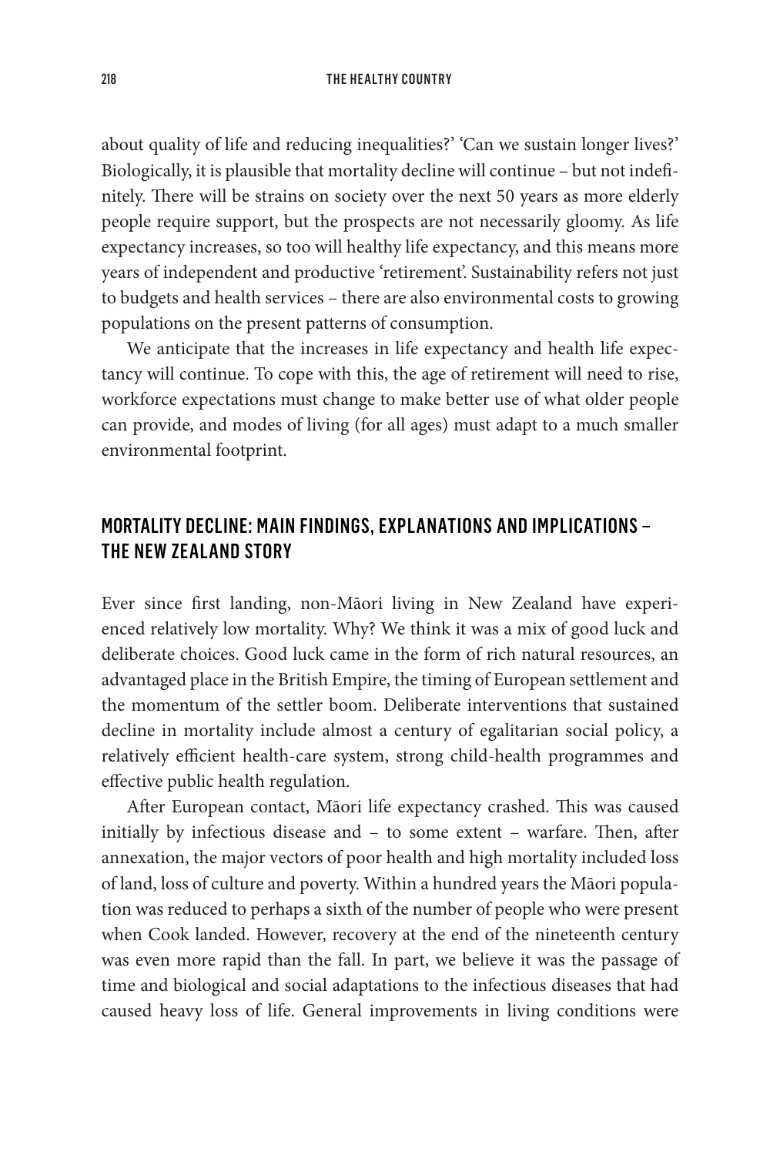THE HEALTHY COUNTRY SUMMING THE LOOKING FORWARD UP, LOOKING FOR WARD IN THE REALTHY COUNTRY

about quality of life and reducing inequalities?' 'Can we sustain longer lives?' Biologically, it is plausible that mortality decline will continue – but not indefinitely. There will be strains on society over the next 50 years as more elderly people require support, but the prospects are not necessarily gloomy. As life expectancy increases, so too will healthy life expectancy, and this means more years of independent and productive 'retirement'. Sustainability refers not just to budgets and health services – there are also environmental costs to growing populations on the present patterns of consumption.

We anticipate that the increases in life expectancy and health life expectancy will continue. To cope with this, the age of retirement will need to rise, workforce expectations must change to make better use of what older people can provide, and modes of living (for all ages) must adapt to a much smaller environmental footprint.

#### MORTALITY DECLINE: MAIN FINDINGS, EXPLANATIONS AND IMPLICATIONS – THE NEW ZEALAND STORY

Ever since first landing, non-Māori living in New Zealand have experienced relatively low mortality. Why? We think it was a mix of good luck and deliberate choices. Good luck came in the form of rich natural resources, an advantaged place in the British Empire, the timing of European settlement and the momentum of the settler boom. Deliberate interventions that sustained decline in mortality include almost a century of egalitarian social policy, a relatively efficient health-care system, strong child-health programmes and effective public health regulation.

After European contact, Māori life expectancy crashed. This was caused initially by infectious disease and – to some extent – warfare. Then, after annexation, the major vectors of poor health and high mortality included loss of land, loss of culture and poverty. Within a hundred years the Māori population was reduced to perhaps a sixth of the number of people who were present when Cook landed. However, recovery at the end of the nineteenth century was even more rapid than the fall. In part, we believe it was the passage of time and biological and social adaptations to the infectious diseases that had caused heavy loss of life. General improvements in living conditions were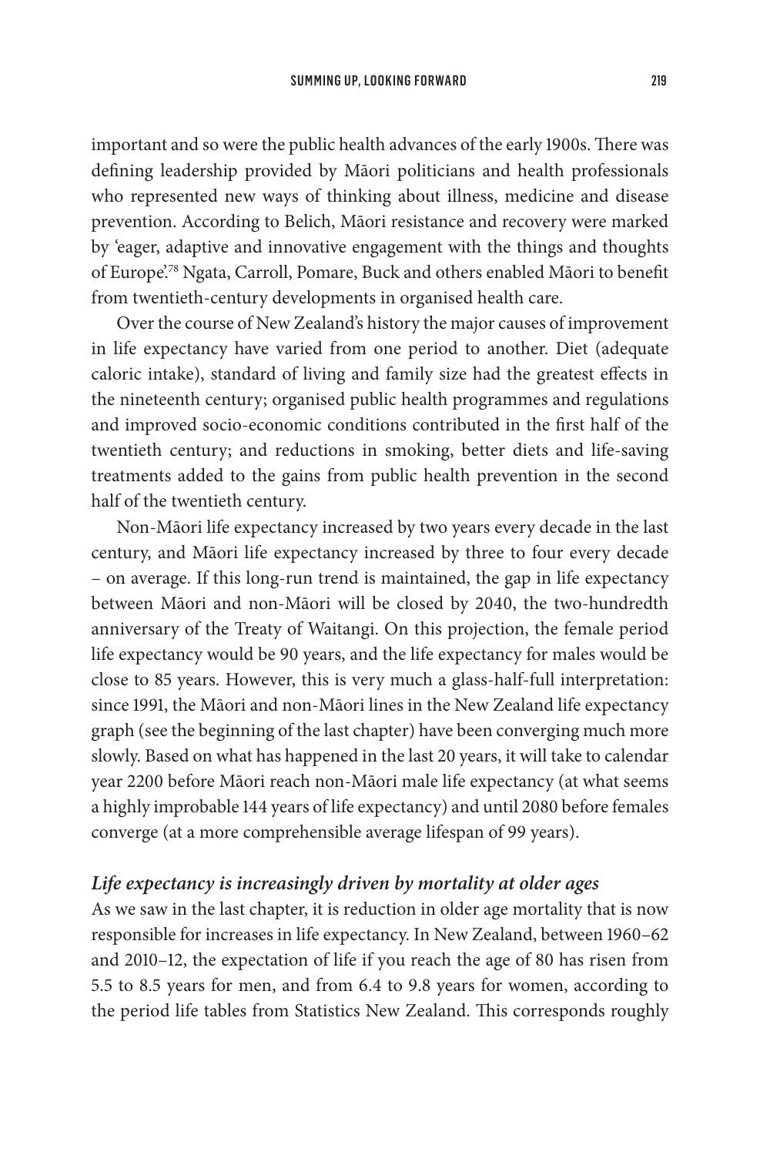important and so were the public health advances of the early 1900s. There was defining leadership provided by Māori politicians and health professionals who represented new ways of thinking about illness, medicine and disease prevention. According to Belich, Māori resistance and recovery were marked by 'eager, adaptive and innovative engagement with the things and thoughts of Europe'.78 Ngata, Carroll, Pomare, Buck and others enabled Māori to benefit from twentieth-century developments in organised health care.

Over the course of New Zealand's history the major causes of improvement in life expectancy have varied from one period to another. Diet (adequate caloric intake), standard of living and family size had the greatest effects in the nineteenth century; organised public health programmes and regulations and improved socio-economic conditions contributed in the first half of the twentieth century; and reductions in smoking, better diets and life-saving treatments added to the gains from public health prevention in the second half of the twentieth century.

Non-Māori life expectancy increased by two years every decade in the last century, and Māori life expectancy increased by three to four every decade – on average. If this long-run trend is maintained, the gap in life expectancy between Māori and non-Māori will be closed by 2040, the two-hundredth anniversary of the Treaty of Waitangi. On this projection, the female period life expectancy would be 90 years, and the life expectancy for males would be close to 85 years. However, this is very much a glass-half-full interpretation: since 1991, the Māori and non-Māori lines in the New Zealand life expectancy graph (see the beginning of the last chapter) have been converging much more slowly. Based on what has happened in the last 20 years, it will take to calendar year 2200 before Māori reach non-Māori male life expectancy (at what seems a highly improbable 144 years of life expectancy) and until 2080 before females converge (at a more comprehensible average lifespan of 99 years).

#### *Life expectancy is increasingly driven by mortality at older ages*

As we saw in the last chapter, it is reduction in older age mortality that is now responsible for increases in life expectancy. In New Zealand, between 1960–62 and 2010–12, the expectation of life if you reach the age of 80 has risen from 5.5 to 8.5 years for men, and from 6.4 to 9.8 years for women, according to the period life tables from Statistics New Zealand. This corresponds roughly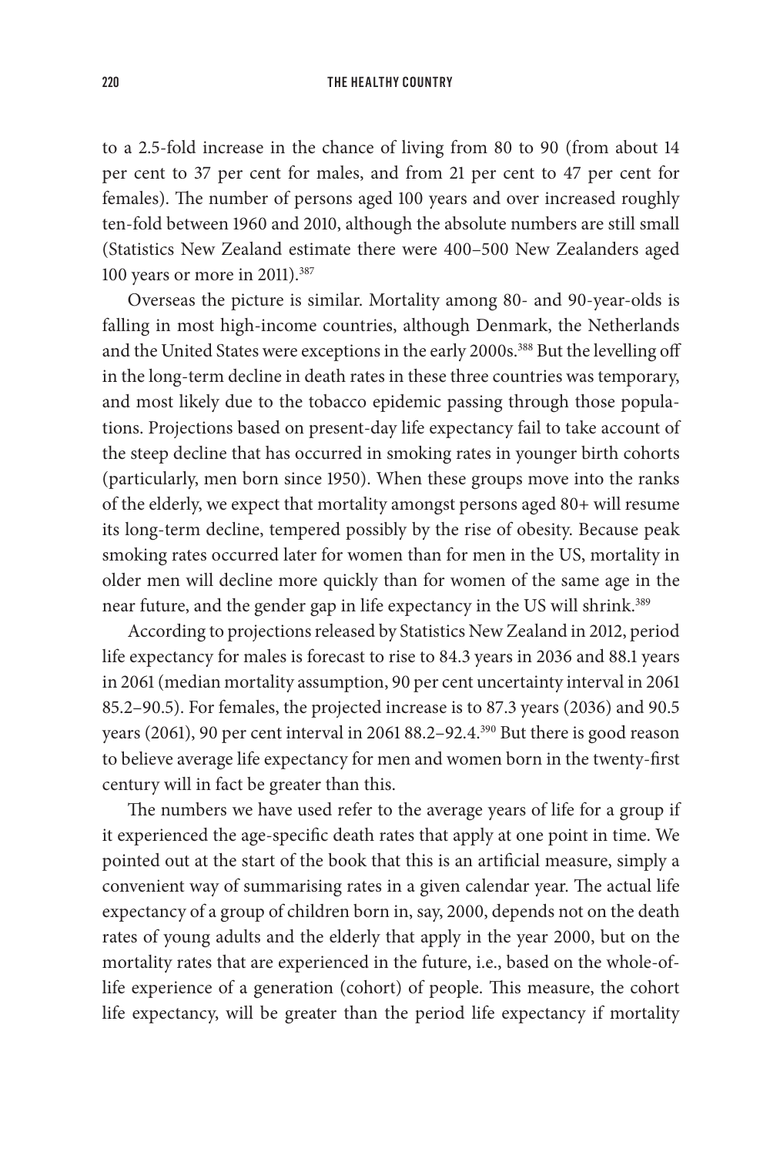220 STATE HEALTHY COUNTRY SUMMING THE HEALTHY COUNTRY

to a 2.5-fold increase in the chance of living from 80 to 90 (from about 14 per cent to 37 per cent for males, and from 21 per cent to 47 per cent for females). The number of persons aged 100 years and over increased roughly ten-fold between 1960 and 2010, although the absolute numbers are still small (Statistics New Zealand estimate there were 400–500 New Zealanders aged 100 years or more in 2011).387

Overseas the picture is similar. Mortality among 80- and 90-year-olds is falling in most high-income countries, although Denmark, the Netherlands and the United States were exceptions in the early 2000s.<sup>388</sup> But the levelling off in the long-term decline in death rates in these three countries was temporary, and most likely due to the tobacco epidemic passing through those populations. Projections based on present-day life expectancy fail to take account of the steep decline that has occurred in smoking rates in younger birth cohorts (particularly, men born since 1950). When these groups move into the ranks of the elderly, we expect that mortality amongst persons aged 80+ will resume its long-term decline, tempered possibly by the rise of obesity. Because peak smoking rates occurred later for women than for men in the US, mortality in older men will decline more quickly than for women of the same age in the near future, and the gender gap in life expectancy in the US will shrink.<sup>389</sup>

According to projections released by Statistics New Zealand in 2012, period life expectancy for males is forecast to rise to 84.3 years in 2036 and 88.1 years in 2061 (median mortality assumption, 90 per cent uncertainty interval in 2061 85.2–90.5). For females, the projected increase is to 87.3 years (2036) and 90.5 years (2061), 90 per cent interval in 2061 88.2–92.4.390 But there is good reason to believe average life expectancy for men and women born in the twenty-first century will in fact be greater than this.

The numbers we have used refer to the average years of life for a group if it experienced the age-specific death rates that apply at one point in time. We pointed out at the start of the book that this is an artificial measure, simply a convenient way of summarising rates in a given calendar year. The actual life expectancy of a group of children born in, say, 2000, depends not on the death rates of young adults and the elderly that apply in the year 2000, but on the mortality rates that are experienced in the future, i.e., based on the whole-oflife experience of a generation (cohort) of people. This measure, the cohort life expectancy, will be greater than the period life expectancy if mortality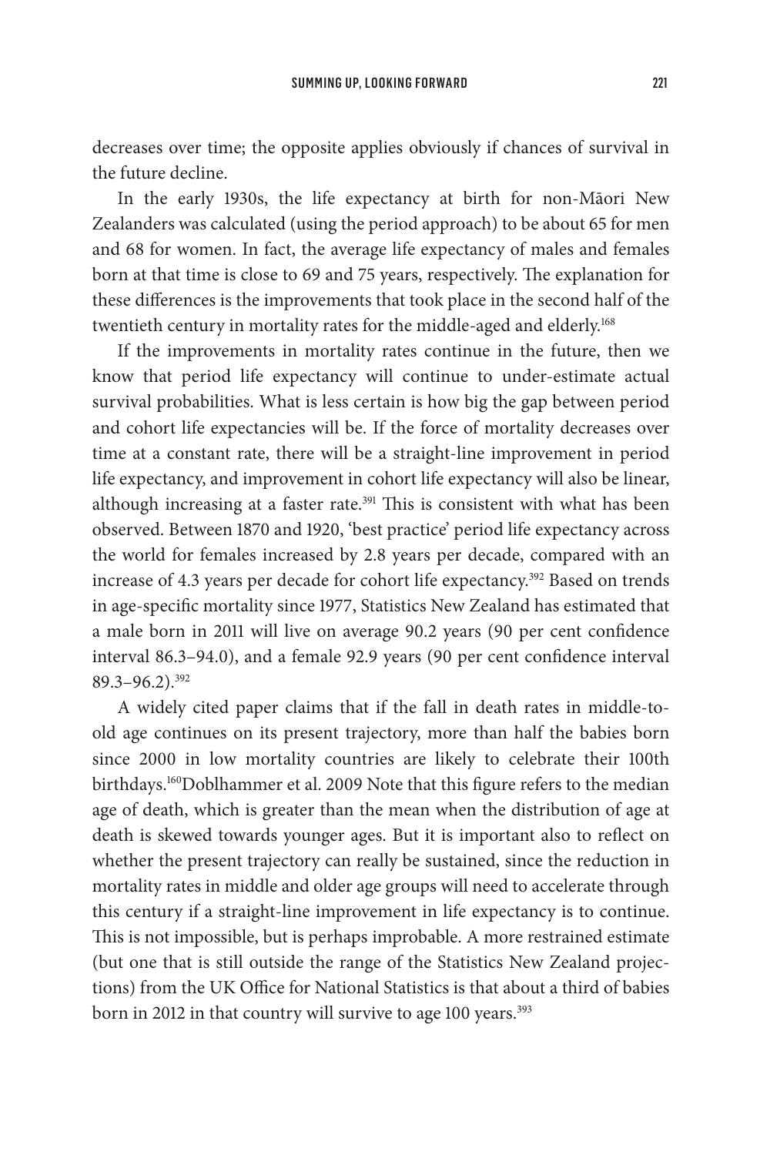decreases over time; the opposite applies obviously if chances of survival in the future decline.

In the early 1930s, the life expectancy at birth for non-Māori New Zealanders was calculated (using the period approach) to be about 65 for men and 68 for women. In fact, the average life expectancy of males and females born at that time is close to 69 and 75 years, respectively. The explanation for these differences is the improvements that took place in the second half of the twentieth century in mortality rates for the middle-aged and elderly.168

If the improvements in mortality rates continue in the future, then we know that period life expectancy will continue to under-estimate actual survival probabilities. What is less certain is how big the gap between period and cohort life expectancies will be. If the force of mortality decreases over time at a constant rate, there will be a straight-line improvement in period life expectancy, and improvement in cohort life expectancy will also be linear, although increasing at a faster rate.<sup>391</sup> This is consistent with what has been observed. Between 1870 and 1920, 'best practice' period life expectancy across the world for females increased by 2.8 years per decade, compared with an increase of 4.3 years per decade for cohort life expectancy.392 Based on trends in age-specific mortality since 1977, Statistics New Zealand has estimated that a male born in 2011 will live on average 90.2 years (90 per cent confidence interval 86.3–94.0), and a female 92.9 years (90 per cent confidence interval 89.3–96.2).392

A widely cited paper claims that if the fall in death rates in middle-toold age continues on its present trajectory, more than half the babies born since 2000 in low mortality countries are likely to celebrate their 100th birthdays.<sup>160</sup>Doblhammer et al. 2009 Note that this figure refers to the median age of death, which is greater than the mean when the distribution of age at death is skewed towards younger ages. But it is important also to reflect on whether the present trajectory can really be sustained, since the reduction in mortality rates in middle and older age groups will need to accelerate through this century if a straight-line improvement in life expectancy is to continue. This is not impossible, but is perhaps improbable. A more restrained estimate (but one that is still outside the range of the Statistics New Zealand projections) from the UK Office for National Statistics is that about a third of babies born in 2012 in that country will survive to age 100 years.<sup>393</sup>